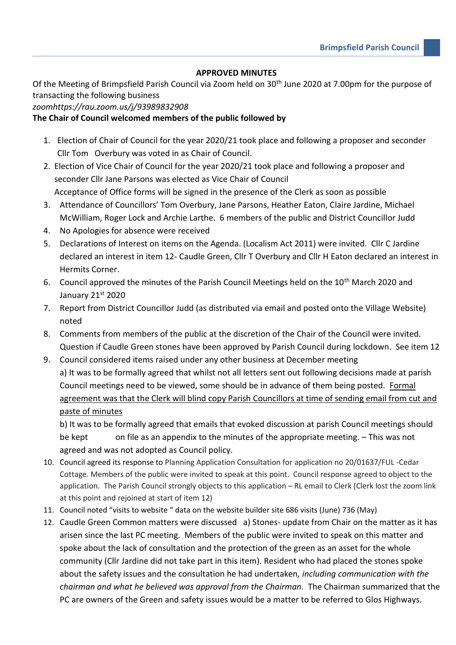## **APPROVED MINUTES**

Of the Meeting of Brimpsfield Parish Council via Zoom held on 30<sup>th</sup> June 2020 at 7.00pm for the purpose of transacting the following business

## *zoomhttps://rau.zoom.us/j/93989832908*

## **The Chair of Council welcomed members of the public followed by**

- 1. Election of Chair of Council for the year 2020/21 took place and following a proposer and seconder Cllr Tom Overbury was voted in as Chair of Council.
- 2. Election of Vice Chair of Council for the year 2020/21 took place and following a proposer and seconder Cllr Jane Parsons was elected as Vice Chair of Council Acceptance of Office forms will be signed in the presence of the Clerk as soon as possible
- 3. Attendance of Councillors' Tom Overbury, Jane Parsons, Heather Eaton, Claire Jardine, Michael McWilliam, Roger Lock and Archie Larthe. 6 members of the public and District Councillor Judd
- 4. No Apologies for absence were received
- 5. Declarations of Interest on items on the Agenda. (Localism Act 2011) were invited. Cllr C Jardine declared an interest in item 12- Caudle Green, Cllr T Overbury and Cllr H Eaton declared an interest in Hermits Corner.
- 6. Council approved the minutes of the Parish Council Meetings held on the 10<sup>th</sup> March 2020 and January 21st 2020
- 7. Report from District Councillor Judd (as distributed via email and posted onto the Village Website) noted
- 8. Comments from members of the public at the discretion of the Chair of the Council were invited. Question if Caudle Green stones have been approved by Parish Council during lockdown. See item 12
- 9. Council considered items raised under any other business at December meeting a) It was to be formally agreed that whilst not all letters sent out following decisions made at parish Council meetings need to be viewed, some should be in advance of them being posted. Formal agreement was that the Clerk will blind copy Parish Councillors at time of sending email from cut and paste of minutes

b) It was to be formally agreed that emails that evoked discussion at parish Council meetings should be kept on file as an appendix to the minutes of the appropriate meeting. – This was not agreed and was not adopted as Council policy.

- 10. Council agreed its response to Planning Application Consultation for application no 20/01637/FUL -Cedar Cottage. Members of the public were invited to speak at this point. Council response agreed to object to the application. The Parish Council strongly objects to this application – RL email to Clerk (Clerk lost the zoom link at this point and rejoined at start of item 12)
- 11. Council noted "visits to website " data on the website builder site 686 visits (June) 736 (May)
- 12. Caudle Green Common matters were discussed a) Stones- update from Chair on the matter as it has arisen since the last PC meeting. Members of the public were invited to speak on this matter and spoke about the lack of consultation and the protection of the green as an asset for the whole community (Cllr Jardine did not take part in this item). Resident who had placed the stones spoke about the safety issues and the consultation he had undertaken*, including communication with the chairman and what he believed was approval from the Chairman.* The Chairman summarized that the PC are owners of the Green and safety issues would be a matter to be referred to Glos Highways.